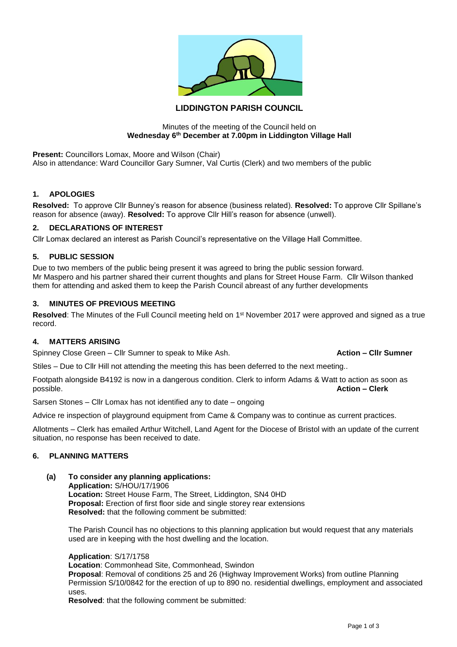

# **LIDDINGTON PARISH COUNCIL**

#### Minutes of the meeting of the Council held on **Wednesday 6th December at 7.00pm in Liddington Village Hall**

**Present:** Councillors Lomax, Moore and Wilson (Chair) Also in attendance: Ward Councillor Gary Sumner, Val Curtis (Clerk) and two members of the public

## **1. APOLOGIES**

**Resolved:** To approve Cllr Bunney's reason for absence (business related). **Resolved:** To approve Cllr Spillane's reason for absence (away). **Resolved:** To approve Cllr Hill's reason for absence (unwell).

## **2. DECLARATIONS OF INTEREST**

Cllr Lomax declared an interest as Parish Council's representative on the Village Hall Committee.

## **5. PUBLIC SESSION**

Due to two members of the public being present it was agreed to bring the public session forward. Mr Maspero and his partner shared their current thoughts and plans for Street House Farm. Cllr Wilson thanked them for attending and asked them to keep the Parish Council abreast of any further developments

## **3. MINUTES OF PREVIOUS MEETING**

Resolved: The Minutes of the Full Council meeting held on 1<sup>st</sup> November 2017 were approved and signed as a true record.

## **4. MATTERS ARISING**

Spinney Close Green – Cllr Sumner to speak to Mike Ash. **Action – Clir Sumner** 

Stiles – Due to Cllr Hill not attending the meeting this has been deferred to the next meeting..

Footpath alongside B4192 is now in a dangerous condition. Clerk to inform Adams & Watt to action as soon as possible. **Action – Clerk**

Sarsen Stones – Cllr Lomax has not identified any to date – ongoing

Advice re inspection of playground equipment from Came & Company was to continue as current practices.

Allotments – Clerk has emailed Arthur Witchell, Land Agent for the Diocese of Bristol with an update of the current situation, no response has been received to date.

#### **6. PLANNING MATTERS**

#### **(a) To consider any planning applications:**

**Application:** S/HOU/17/1906 **Location:** Street House Farm, The Street, Liddington, SN4 0HD **Proposal:** Erection of first floor side and single storey rear extensions **Resolved:** that the following comment be submitted:

The Parish Council has no objections to this planning application but would request that any materials used are in keeping with the host dwelling and the location.

**Application**: S/17/1758

**Location**: Commonhead Site, Commonhead, Swindon

**Proposal**: Removal of conditions 25 and 26 (Highway Improvement Works) from outline Planning Permission S/10/0842 for the erection of up to 890 no. residential dwellings, employment and associated uses.

**Resolved**: that the following comment be submitted: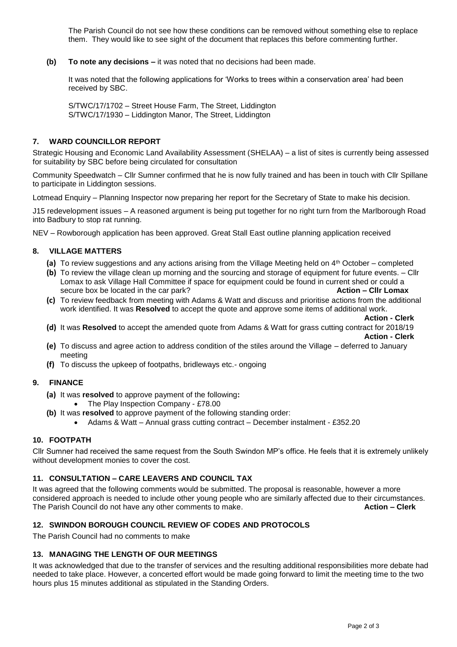The Parish Council do not see how these conditions can be removed without something else to replace them. They would like to see sight of the document that replaces this before commenting further.

**(b) To note any decisions –** it was noted that no decisions had been made.

It was noted that the following applications for 'Works to trees within a conservation area' had been received by SBC.

S/TWC/17/1702 – Street House Farm, The Street, Liddington S/TWC/17/1930 – Liddington Manor, The Street, Liddington

## **7. WARD COUNCILLOR REPORT**

Strategic Housing and Economic Land Availability Assessment (SHELAA) – a list of sites is currently being assessed for suitability by SBC before being circulated for consultation

Community Speedwatch – Cllr Sumner confirmed that he is now fully trained and has been in touch with Cllr Spillane to participate in Liddington sessions.

Lotmead Enquiry – Planning Inspector now preparing her report for the Secretary of State to make his decision.

J15 redevelopment issues – A reasoned argument is being put together for no right turn from the Marlborough Road into Badbury to stop rat running.

NEV – Rowborough application has been approved. Great Stall East outline planning application received

## **8. VILLAGE MATTERS**

- **(a)** To review suggestions and any actions arising from the Village Meeting held on 4th October completed
- **(b)** To review the village clean up morning and the sourcing and storage of equipment for future events. Cllr Lomax to ask Village Hall Committee if space for equipment could be found in current shed or could a secure box be located in the car park? **Action – Cllr Lomax**
- **(c)** To review feedback from meeting with Adams & Watt and discuss and prioritise actions from the additional work identified. It was **Resolved** to accept the quote and approve some items of additional work.

**Action - Clerk**

**(d)** It was **Resolved** to accept the amended quote from Adams & Watt for grass cutting contract for 2018/19 **Action - Clerk** 

- **(e)** To discuss and agree action to address condition of the stiles around the Village deferred to January meeting
- **(f)** To discuss the upkeep of footpaths, bridleways etc.- ongoing

## **9. FINANCE**

- **(a)** It was **resolved** to approve payment of the following**:**
	- The Play Inspection Company £78.00
- **(b)** It was **resolved** to approve payment of the following standing order:
	- Adams & Watt Annual grass cutting contract December instalment £352.20

#### **10. FOOTPATH**

Cllr Sumner had received the same request from the South Swindon MP's office. He feels that it is extremely unlikely without development monies to cover the cost.

#### **11. CONSULTATION – CARE LEAVERS AND COUNCIL TAX**

It was agreed that the following comments would be submitted. The proposal is reasonable, however a more considered approach is needed to include other young people who are similarly affected due to their circumstances. The Parish Council do not have any other comments to make. **Action – Clerk**

# **12. SWINDON BOROUGH COUNCIL REVIEW OF CODES AND PROTOCOLS**

The Parish Council had no comments to make

#### **13. MANAGING THE LENGTH OF OUR MEETINGS**

It was acknowledged that due to the transfer of services and the resulting additional responsibilities more debate had needed to take place. However, a concerted effort would be made going forward to limit the meeting time to the two hours plus 15 minutes additional as stipulated in the Standing Orders.